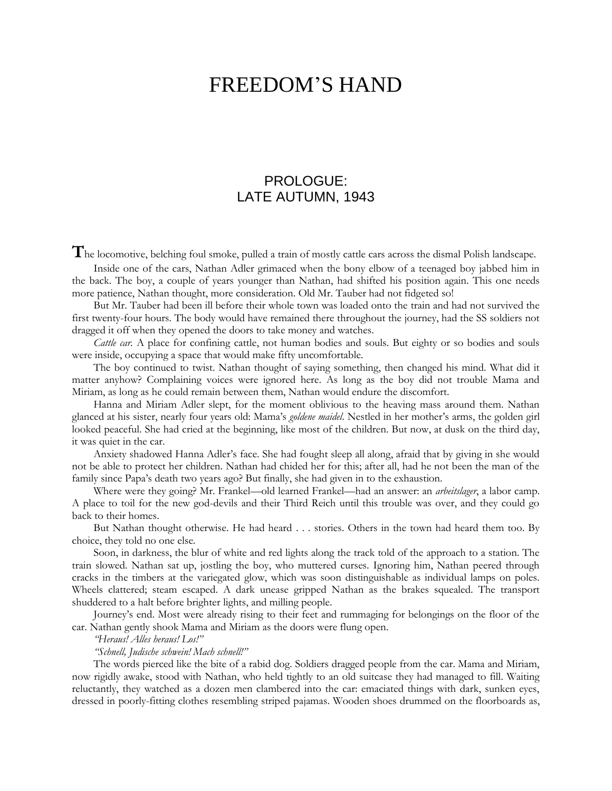# FREEDOM'S HAND

# PROLOGUE: LATE AUTUMN, 1943

The locomotive, belching foul smoke, pulled a train of mostly cattle cars across the dismal Polish landscape.

Inside one of the cars, Nathan Adler grimaced when the bony elbow of a teenaged boy jabbed him in the back. The boy, a couple of years younger than Nathan, had shifted his position again. This one needs more patience, Nathan thought, more consideration. Old Mr. Tauber had not fidgeted so!

But Mr. Tauber had been ill before their whole town was loaded onto the train and had not survived the first twenty-four hours. The body would have remained there throughout the journey, had the SS soldiers not dragged it off when they opened the doors to take money and watches.

*Cattle car.* A place for confining cattle, not human bodies and souls. But eighty or so bodies and souls were inside, occupying a space that would make fifty uncomfortable.

The boy continued to twist. Nathan thought of saying something, then changed his mind. What did it matter anyhow? Complaining voices were ignored here. As long as the boy did not trouble Mama and Miriam, as long as he could remain between them, Nathan would endure the discomfort.

Hanna and Miriam Adler slept, for the moment oblivious to the heaving mass around them. Nathan glanced at his sister, nearly four years old: Mama's *goldene maidel*. Nestled in her mother's arms, the golden girl looked peaceful. She had cried at the beginning, like most of the children. But now, at dusk on the third day, it was quiet in the car.

Anxiety shadowed Hanna Adler's face. She had fought sleep all along, afraid that by giving in she would not be able to protect her children. Nathan had chided her for this; after all, had he not been the man of the family since Papa's death two years ago? But finally, she had given in to the exhaustion.

Where were they going? Mr. Frankel—old learned Frankel—had an answer: an *arbeitslager*, a labor camp. A place to toil for the new god-devils and their Third Reich until this trouble was over, and they could go back to their homes.

But Nathan thought otherwise. He had heard . . . stories. Others in the town had heard them too. By choice, they told no one else.

Soon, in darkness, the blur of white and red lights along the track told of the approach to a station. The train slowed. Nathan sat up, jostling the boy, who muttered curses. Ignoring him, Nathan peered through cracks in the timbers at the variegated glow, which was soon distinguishable as individual lamps on poles. Wheels clattered; steam escaped. A dark unease gripped Nathan as the brakes squealed. The transport shuddered to a halt before brighter lights, and milling people.

Journey's end. Most were already rising to their feet and rummaging for belongings on the floor of the car. Nathan gently shook Mama and Miriam as the doors were flung open.

*"Heraus! Alles heraus! Los!"*

## *"Schnell, Judische schwein! Mach schnell!"*

The words pierced like the bite of a rabid dog. Soldiers dragged people from the car. Mama and Miriam, now rigidly awake, stood with Nathan, who held tightly to an old suitcase they had managed to fill. Waiting reluctantly, they watched as a dozen men clambered into the car: emaciated things with dark, sunken eyes, dressed in poorly-fitting clothes resembling striped pajamas. Wooden shoes drummed on the floorboards as,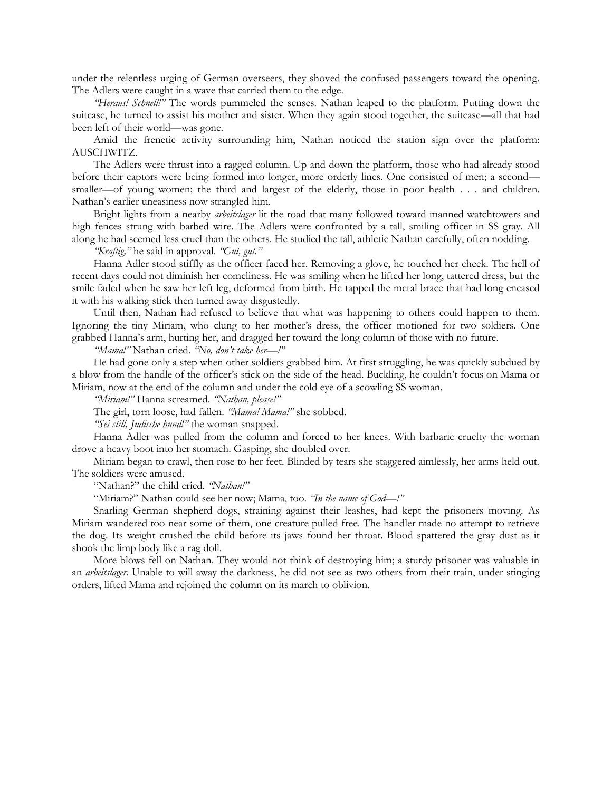under the relentless urging of German overseers, they shoved the confused passengers toward the opening. The Adlers were caught in a wave that carried them to the edge.

*"Heraus! Schnell!"* The words pummeled the senses. Nathan leaped to the platform. Putting down the suitcase, he turned to assist his mother and sister. When they again stood together, the suitcase—all that had been left of their world—was gone.

Amid the frenetic activity surrounding him, Nathan noticed the station sign over the platform: AUSCHWITZ.

The Adlers were thrust into a ragged column. Up and down the platform, those who had already stood before their captors were being formed into longer, more orderly lines. One consisted of men; a second smaller—of young women; the third and largest of the elderly, those in poor health . . . and children. Nathan's earlier uneasiness now strangled him.

Bright lights from a nearby *arbeitslager* lit the road that many followed toward manned watchtowers and high fences strung with barbed wire. The Adlers were confronted by a tall, smiling officer in SS gray. All along he had seemed less cruel than the others. He studied the tall, athletic Nathan carefully, often nodding.

*"Kraftig,"* he said in approval. *"Gut, gut."*

Hanna Adler stood stiffly as the officer faced her. Removing a glove, he touched her cheek. The hell of recent days could not diminish her comeliness. He was smiling when he lifted her long, tattered dress, but the smile faded when he saw her left leg, deformed from birth. He tapped the metal brace that had long encased it with his walking stick then turned away disgustedly.

Until then, Nathan had refused to believe that what was happening to others could happen to them. Ignoring the tiny Miriam, who clung to her mother's dress, the officer motioned for two soldiers. One grabbed Hanna's arm, hurting her, and dragged her toward the long column of those with no future.

*"Mama!"* Nathan cried. *"No, don't take her—!"*

He had gone only a step when other soldiers grabbed him. At first struggling, he was quickly subdued by a blow from the handle of the officer's stick on the side of the head. Buckling, he couldn't focus on Mama or Miriam, now at the end of the column and under the cold eye of a scowling SS woman.

*"Miriam!"* Hanna screamed. *"Nathan, please!"*

The girl, torn loose, had fallen. *"Mama! Mama!"* she sobbed.

*"Sei still, Judische hund!"* the woman snapped.

Hanna Adler was pulled from the column and forced to her knees. With barbaric cruelty the woman drove a heavy boot into her stomach. Gasping, she doubled over.

Miriam began to crawl, then rose to her feet. Blinded by tears she staggered aimlessly, her arms held out. The soldiers were amused.

"Nathan?" the child cried. *"Nathan!"*

"Miriam?" Nathan could see her now; Mama, too. *"In the name of God—!"*

Snarling German shepherd dogs, straining against their leashes, had kept the prisoners moving. As Miriam wandered too near some of them, one creature pulled free. The handler made no attempt to retrieve the dog. Its weight crushed the child before its jaws found her throat. Blood spattered the gray dust as it shook the limp body like a rag doll.

More blows fell on Nathan. They would not think of destroying him; a sturdy prisoner was valuable in an *arbeitslager*. Unable to will away the darkness, he did not see as two others from their train, under stinging orders, lifted Mama and rejoined the column on its march to oblivion.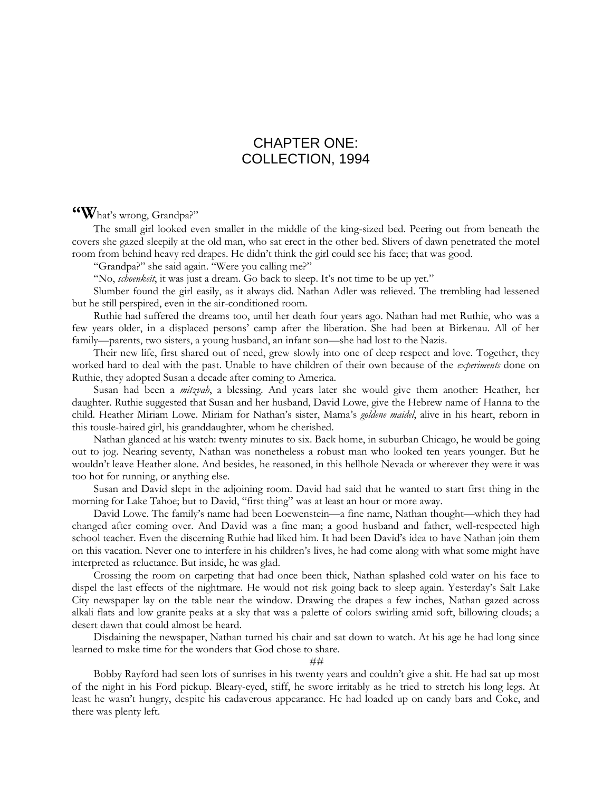# CHAPTER ONE: COLLECTION, 1994

# **"W**hat's wrong, Grandpa?"

The small girl looked even smaller in the middle of the king-sized bed. Peering out from beneath the covers she gazed sleepily at the old man, who sat erect in the other bed. Slivers of dawn penetrated the motel room from behind heavy red drapes. He didn't think the girl could see his face; that was good.

"Grandpa?" she said again. "Were you calling me?"

"No, *schoenkeit*, it was just a dream. Go back to sleep. It's not time to be up yet."

Slumber found the girl easily, as it always did. Nathan Adler was relieved. The trembling had lessened but he still perspired, even in the air-conditioned room.

Ruthie had suffered the dreams too, until her death four years ago. Nathan had met Ruthie, who was a few years older, in a displaced persons' camp after the liberation. She had been at Birkenau. All of her family—parents, two sisters, a young husband, an infant son—she had lost to the Nazis.

Their new life, first shared out of need, grew slowly into one of deep respect and love. Together, they worked hard to deal with the past. Unable to have children of their own because of the *experiments* done on Ruthie, they adopted Susan a decade after coming to America.

Susan had been a *mitzvah*, a blessing. And years later she would give them another: Heather, her daughter. Ruthie suggested that Susan and her husband, David Lowe, give the Hebrew name of Hanna to the child. Heather Miriam Lowe. Miriam for Nathan's sister, Mama's *goldene maidel*, alive in his heart, reborn in this tousle-haired girl, his granddaughter, whom he cherished.

Nathan glanced at his watch: twenty minutes to six. Back home, in suburban Chicago, he would be going out to jog. Nearing seventy, Nathan was nonetheless a robust man who looked ten years younger. But he wouldn't leave Heather alone. And besides, he reasoned, in this hellhole Nevada or wherever they were it was too hot for running, or anything else.

Susan and David slept in the adjoining room. David had said that he wanted to start first thing in the morning for Lake Tahoe; but to David, "first thing" was at least an hour or more away.

David Lowe. The family's name had been Loewenstein—a fine name, Nathan thought—which they had changed after coming over. And David was a fine man; a good husband and father, well-respected high school teacher. Even the discerning Ruthie had liked him. It had been David's idea to have Nathan join them on this vacation. Never one to interfere in his children's lives, he had come along with what some might have interpreted as reluctance. But inside, he was glad.

Crossing the room on carpeting that had once been thick, Nathan splashed cold water on his face to dispel the last effects of the nightmare. He would not risk going back to sleep again. Yesterday's Salt Lake City newspaper lay on the table near the window. Drawing the drapes a few inches, Nathan gazed across alkali flats and low granite peaks at a sky that was a palette of colors swirling amid soft, billowing clouds; a desert dawn that could almost be heard.

Disdaining the newspaper, Nathan turned his chair and sat down to watch. At his age he had long since learned to make time for the wonders that God chose to share.

#### ##

Bobby Rayford had seen lots of sunrises in his twenty years and couldn't give a shit. He had sat up most of the night in his Ford pickup. Bleary-eyed, stiff, he swore irritably as he tried to stretch his long legs. At least he wasn't hungry, despite his cadaverous appearance. He had loaded up on candy bars and Coke, and there was plenty left.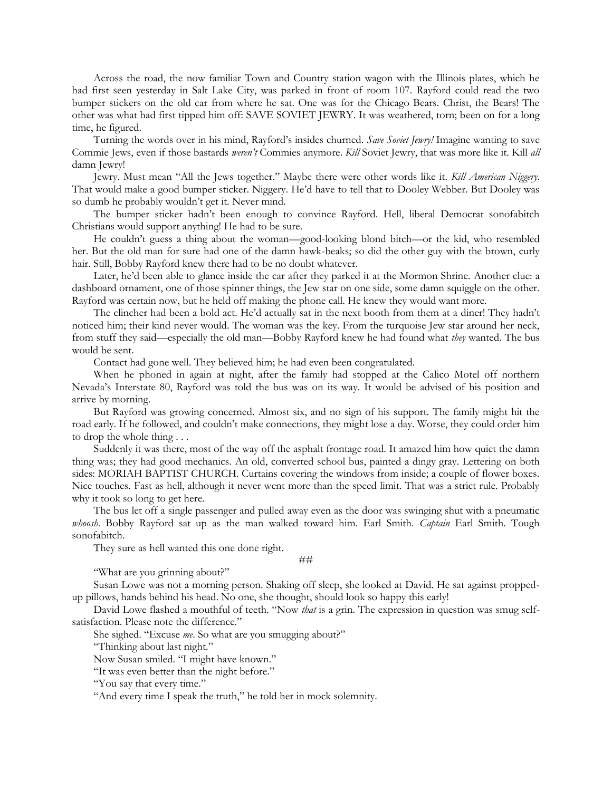Across the road, the now familiar Town and Country station wagon with the Illinois plates, which he had first seen yesterday in Salt Lake City, was parked in front of room 107. Rayford could read the two bumper stickers on the old car from where he sat. One was for the Chicago Bears. Christ, the Bears! The other was what had first tipped him off: SAVE SOVIET JEWRY. It was weathered, torn; been on for a long time, he figured.

Turning the words over in his mind, Rayford's insides churned. *Save Soviet Jewry!* Imagine wanting to save Commie Jews, even if those bastards *weren't* Commies anymore. *Kill* Soviet Jewry, that was more like it. Kill *all* damn Jewry!

Jewry. Must mean "All the Jews together." Maybe there were other words like it. *Kill American Niggery*. That would make a good bumper sticker. Niggery. He'd have to tell that to Dooley Webber. But Dooley was so dumb he probably wouldn't get it. Never mind.

The bumper sticker hadn't been enough to convince Rayford. Hell, liberal Democrat sonofabitch Christians would support anything! He had to be sure.

He couldn't guess a thing about the woman—good-looking blond bitch—or the kid, who resembled her. But the old man for sure had one of the damn hawk-beaks; so did the other guy with the brown, curly hair. Still, Bobby Rayford knew there had to be no doubt whatever.

Later, he'd been able to glance inside the car after they parked it at the Mormon Shrine. Another clue: a dashboard ornament, one of those spinner things, the Jew star on one side, some damn squiggle on the other. Rayford was certain now, but he held off making the phone call. He knew they would want more.

The clincher had been a bold act. He'd actually sat in the next booth from them at a diner! They hadn't noticed him; their kind never would. The woman was the key. From the turquoise Jew star around her neck, from stuff they said—especially the old man—Bobby Rayford knew he had found what *they* wanted. The bus would be sent.

Contact had gone well. They believed him; he had even been congratulated.

When he phoned in again at night, after the family had stopped at the Calico Motel off northern Nevada's Interstate 80, Rayford was told the bus was on its way. It would be advised of his position and arrive by morning.

But Rayford was growing concerned. Almost six, and no sign of his support. The family might hit the road early. If he followed, and couldn't make connections, they might lose a day. Worse, they could order him to drop the whole thing . . .

Suddenly it was there, most of the way off the asphalt frontage road. It amazed him how quiet the damn thing was; they had good mechanics. An old, converted school bus, painted a dingy gray. Lettering on both sides: MORIAH BAPTIST CHURCH. Curtains covering the windows from inside; a couple of flower boxes. Nice touches. Fast as hell, although it never went more than the speed limit. That was a strict rule. Probably why it took so long to get here.

The bus let off a single passenger and pulled away even as the door was swinging shut with a pneumatic *whoosh*. Bobby Rayford sat up as the man walked toward him. Earl Smith. *Captain* Earl Smith. Tough sonofabitch.

They sure as hell wanted this one done right.

# ##

"What are you grinning about?"

Susan Lowe was not a morning person. Shaking off sleep, she looked at David. He sat against proppedup pillows, hands behind his head. No one, she thought, should look so happy this early!

David Lowe flashed a mouthful of teeth. "Now *that* is a grin. The expression in question was smug selfsatisfaction. Please note the difference."

She sighed. "Excuse *me*. So what are you smugging about?"

"Thinking about last night."

Now Susan smiled. "I might have known."

"It was even better than the night before."

"You say that every time."

"And every time I speak the truth," he told her in mock solemnity.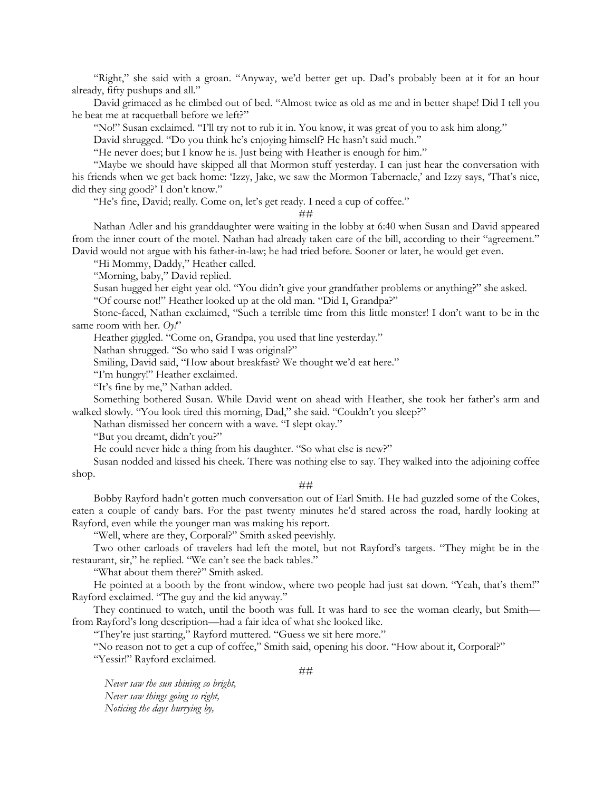"Right," she said with a groan. "Anyway, we'd better get up. Dad's probably been at it for an hour already, fifty pushups and all."

David grimaced as he climbed out of bed. "Almost twice as old as me and in better shape! Did I tell you he beat me at racquetball before we left?"

"No!" Susan exclaimed. "I'll try not to rub it in. You know, it was great of you to ask him along."

David shrugged. "Do you think he's enjoying himself? He hasn't said much."

"He never does; but I know he is. Just being with Heather is enough for him."

"Maybe we should have skipped all that Mormon stuff yesterday. I can just hear the conversation with his friends when we get back home: 'Izzy, Jake, we saw the Mormon Tabernacle,' and Izzy says, 'That's nice, did they sing good?' I don't know."

"He's fine, David; really. Come on, let's get ready. I need a cup of coffee."

##

Nathan Adler and his granddaughter were waiting in the lobby at 6:40 when Susan and David appeared from the inner court of the motel. Nathan had already taken care of the bill, according to their "agreement." David would not argue with his father-in-law; he had tried before. Sooner or later, he would get even.

"Hi Mommy, Daddy," Heather called.

"Morning, baby," David replied.

Susan hugged her eight year old. "You didn't give your grandfather problems or anything?" she asked.

"Of course not!" Heather looked up at the old man. "Did I, Grandpa?"

Stone-faced, Nathan exclaimed, "Such a terrible time from this little monster! I don't want to be in the same room with her.  $Oy!$ "

Heather giggled. "Come on, Grandpa, you used that line yesterday."

Nathan shrugged. "So who said I was original?"

Smiling, David said, "How about breakfast? We thought we'd eat here."

"I'm hungry!" Heather exclaimed.

"It's fine by me," Nathan added.

Something bothered Susan. While David went on ahead with Heather, she took her father's arm and walked slowly. "You look tired this morning, Dad," she said. "Couldn't you sleep?"

Nathan dismissed her concern with a wave. "I slept okay."

"But you dreamt, didn't you?"

He could never hide a thing from his daughter. "So what else is new?"

Susan nodded and kissed his cheek. There was nothing else to say. They walked into the adjoining coffee shop.

### ##

Bobby Rayford hadn't gotten much conversation out of Earl Smith. He had guzzled some of the Cokes, eaten a couple of candy bars. For the past twenty minutes he'd stared across the road, hardly looking at Rayford, even while the younger man was making his report.

"Well, where are they, Corporal?" Smith asked peevishly.

Two other carloads of travelers had left the motel, but not Rayford's targets. "They might be in the restaurant, sir," he replied. "We can't see the back tables."

"What about them there?" Smith asked.

He pointed at a booth by the front window, where two people had just sat down. "Yeah, that's them!" Rayford exclaimed. "The guy and the kid anyway."

They continued to watch, until the booth was full. It was hard to see the woman clearly, but Smith from Rayford's long description—had a fair idea of what she looked like.

"They're just starting," Rayford muttered. "Guess we sit here more."

"No reason not to get a cup of coffee," Smith said, opening his door. "How about it, Corporal?"

"Yessir!" Rayford exclaimed.

 *Never saw the sun shining so bright, Never saw things going so right, Noticing the days hurrying by,*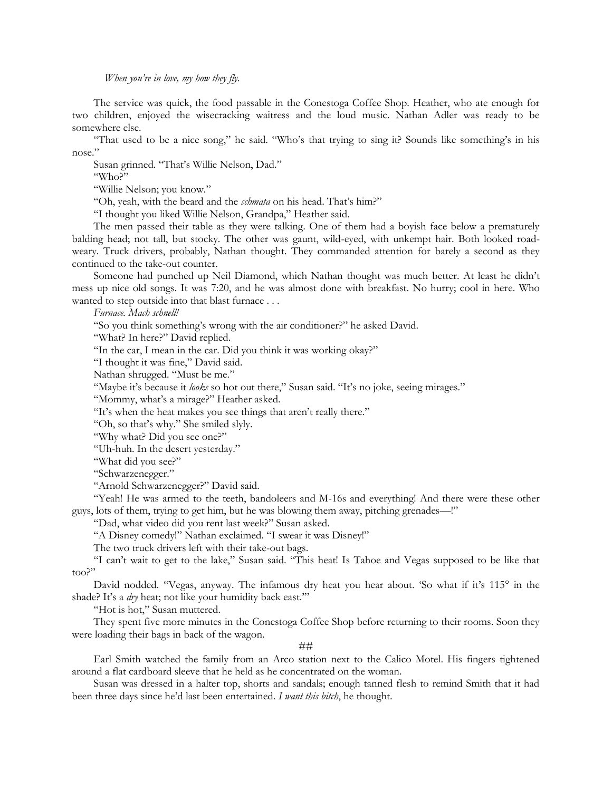## *When you're in love, my how they fly.*

The service was quick, the food passable in the Conestoga Coffee Shop. Heather, who ate enough for two children, enjoyed the wisecracking waitress and the loud music. Nathan Adler was ready to be somewhere else.

"That used to be a nice song," he said. "Who's that trying to sing it? Sounds like something's in his nose."

Susan grinned. "That's Willie Nelson, Dad."

"Who?"

"Willie Nelson; you know."

"Oh, yeah, with the beard and the *schmata* on his head. That's him?"

"I thought you liked Willie Nelson, Grandpa," Heather said.

The men passed their table as they were talking. One of them had a boyish face below a prematurely balding head; not tall, but stocky. The other was gaunt, wild-eyed, with unkempt hair. Both looked roadweary. Truck drivers, probably, Nathan thought. They commanded attention for barely a second as they continued to the take-out counter.

Someone had punched up Neil Diamond, which Nathan thought was much better. At least he didn't mess up nice old songs. It was 7:20, and he was almost done with breakfast. No hurry; cool in here. Who wanted to step outside into that blast furnace . . .

*Furnace. Mach schnell!*

"So you think something's wrong with the air conditioner?" he asked David.

"What? In here?" David replied.

"In the car, I mean in the car. Did you think it was working okay?"

"I thought it was fine," David said.

Nathan shrugged. "Must be me."

"Maybe it's because it *looks* so hot out there," Susan said. "It's no joke, seeing mirages."

"Mommy, what's a mirage?" Heather asked.

"It's when the heat makes you see things that aren't really there."

"Oh, so that's why." She smiled slyly.

"Why what? Did you see one?"

"Uh-huh. In the desert yesterday."

"What did you see?"

"Schwarzenegger."

"Arnold Schwarzenegger?" David said.

"Yeah! He was armed to the teeth, bandoleers and M-16s and everything! And there were these other guys, lots of them, trying to get him, but he was blowing them away, pitching grenades—!"

"Dad, what video did you rent last week?" Susan asked.

"A Disney comedy!" Nathan exclaimed. "I swear it was Disney!"

The two truck drivers left with their take-out bags.

"I can't wait to get to the lake," Susan said. "This heat! Is Tahoe and Vegas supposed to be like that too?"

David nodded. "Vegas, anyway. The infamous dry heat you hear about. 'So what if it's 115° in the shade? It's a *dry* heat; not like your humidity back east.'"

"Hot is hot," Susan muttered.

They spent five more minutes in the Conestoga Coffee Shop before returning to their rooms. Soon they were loading their bags in back of the wagon.

### ##

Earl Smith watched the family from an Arco station next to the Calico Motel. His fingers tightened around a flat cardboard sleeve that he held as he concentrated on the woman.

Susan was dressed in a halter top, shorts and sandals; enough tanned flesh to remind Smith that it had been three days since he'd last been entertained. *I want this bitch*, he thought.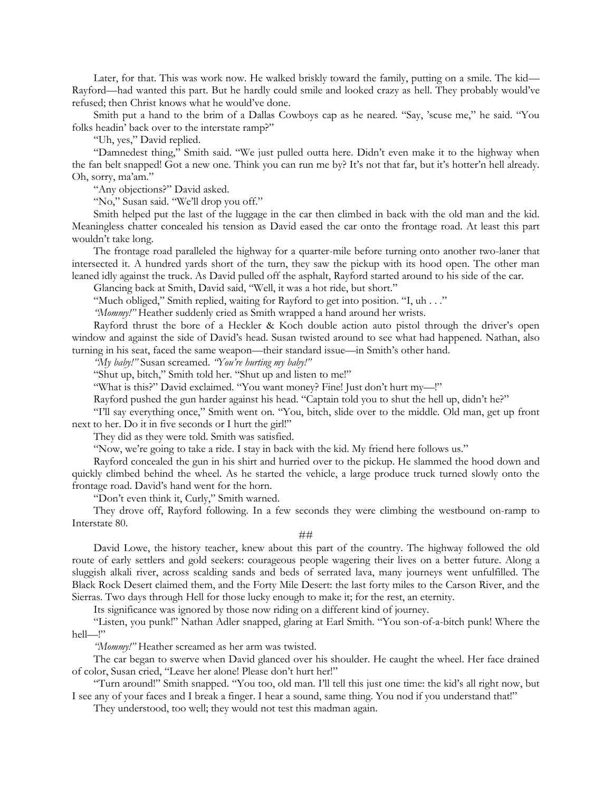Later, for that. This was work now. He walked briskly toward the family, putting on a smile. The kid— Rayford—had wanted this part. But he hardly could smile and looked crazy as hell. They probably would've refused; then Christ knows what he would've done.

Smith put a hand to the brim of a Dallas Cowboys cap as he neared. "Say, 'scuse me," he said. "You folks headin' back over to the interstate ramp?"

"Uh, yes," David replied.

"Damnedest thing," Smith said. "We just pulled outta here. Didn't even make it to the highway when the fan belt snapped! Got a new one. Think you can run me by? It's not that far, but it's hotter'n hell already. Oh, sorry, ma'am."

"Any objections?" David asked.

"No," Susan said. "We'll drop you off."

Smith helped put the last of the luggage in the car then climbed in back with the old man and the kid. Meaningless chatter concealed his tension as David eased the car onto the frontage road. At least this part wouldn't take long.

The frontage road paralleled the highway for a quarter-mile before turning onto another two-laner that intersected it. A hundred yards short of the turn, they saw the pickup with its hood open. The other man leaned idly against the truck. As David pulled off the asphalt, Rayford started around to his side of the car.

Glancing back at Smith, David said, "Well, it was a hot ride, but short."

"Much obliged," Smith replied, waiting for Rayford to get into position. "I, uh . . ."

*"Mommy!"* Heather suddenly cried as Smith wrapped a hand around her wrists.

Rayford thrust the bore of a Heckler & Koch double action auto pistol through the driver's open window and against the side of David's head. Susan twisted around to see what had happened. Nathan, also turning in his seat, faced the same weapon—their standard issue—in Smith's other hand.

*"My baby!"* Susan screamed. *"You're hurting my baby!"*

"Shut up, bitch," Smith told her. "Shut up and listen to me!"

"What is this?" David exclaimed. "You want money? Fine! Just don't hurt my—!"

Rayford pushed the gun harder against his head. "Captain told you to shut the hell up, didn't he?"

"I'll say everything once," Smith went on. "You, bitch, slide over to the middle. Old man, get up front next to her. Do it in five seconds or I hurt the girl!"

They did as they were told. Smith was satisfied.

"Now, we're going to take a ride. I stay in back with the kid. My friend here follows us."

Rayford concealed the gun in his shirt and hurried over to the pickup. He slammed the hood down and quickly climbed behind the wheel. As he started the vehicle, a large produce truck turned slowly onto the frontage road. David's hand went for the horn.

"Don't even think it, Curly," Smith warned.

They drove off, Rayford following. In a few seconds they were climbing the westbound on-ramp to Interstate 80.

### ##

David Lowe, the history teacher, knew about this part of the country. The highway followed the old route of early settlers and gold seekers: courageous people wagering their lives on a better future. Along a sluggish alkali river, across scalding sands and beds of serrated lava, many journeys went unfulfilled. The Black Rock Desert claimed them, and the Forty Mile Desert: the last forty miles to the Carson River, and the Sierras. Two days through Hell for those lucky enough to make it; for the rest, an eternity.

Its significance was ignored by those now riding on a different kind of journey.

"Listen, you punk!" Nathan Adler snapped, glaring at Earl Smith. "You son-of-a-bitch punk! Where the hell—!"

*"Mommy!"* Heather screamed as her arm was twisted.

The car began to swerve when David glanced over his shoulder. He caught the wheel. Her face drained of color, Susan cried, "Leave her alone! Please don't hurt her!"

"Turn around!" Smith snapped. "You too, old man. I'll tell this just one time: the kid's all right now, but I see any of your faces and I break a finger. I hear a sound, same thing. You nod if you understand that!"

They understood, too well; they would not test this madman again.